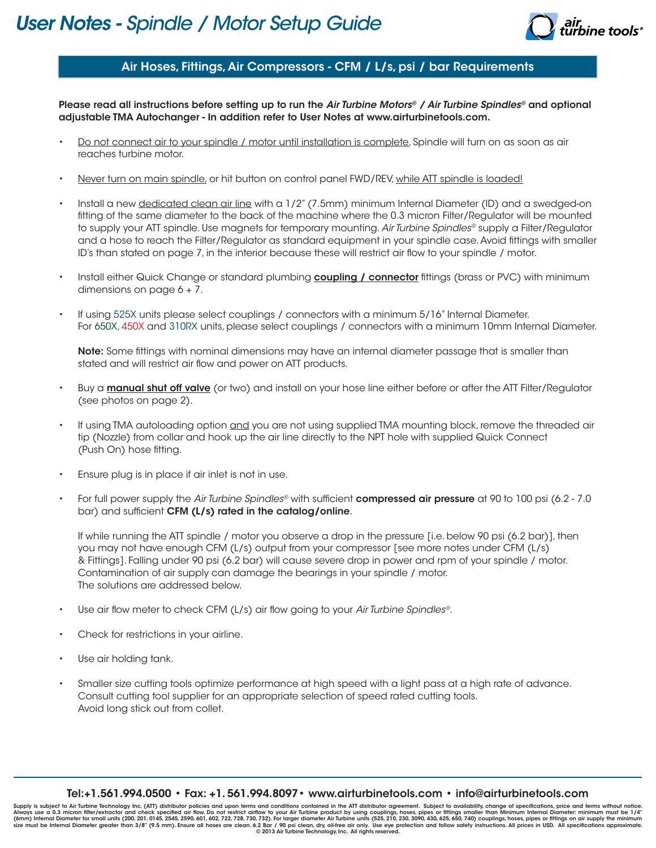

## Air Hoses, Fittings, Air Compressors - CFM / L/s, psi / bar Requirements

Please read all instructions before setting up to run the *Air Turbine Motors® / Air Turbine Spindles®* and optional adjustable TMA Autochanger - In addition refer to User Notes at www.airturbinetools.com.

- Do not connect air to your spindle / motor until installation is complete. Spindle will turn on as soon as air reaches turbine motor.
- Never turn on main spindle, or hit button on control panel FWD/REV, while ATT spindle is loaded!
- Install a new dedicated clean air line with a 1/2" (7.5mm) minimum Internal Diameter (ID) and a swedged-on fitting of the same diameter to the back of the machine where the 0.3 micron Filter/Regulator will be mounted to supply your ATT spindle. Use magnets for temporary mounting. *Air Turbine Spindles®* supply a Filter/Regulator and a hose to reach the Filter/Regulator as standard equipment in your spindle case. Avoid fittings with smaller ID's than stated on page 7, in the interior because these will restrict air flow to your spindle / motor.
- Install either Quick Change or standard plumbing **coupling / connector** fittings (brass or PVC) with minimum dimensions on page  $6 + 7$ .
- If using 525X units please select couplings / connectors with a minimum 5/16" Internal Diameter. For 650X, 450X and 310RX units, please select couplings / connectors with a minimum 10mm Internal Diameter.

Note: Some fittings with nominal dimensions may have an internal diameter passage that is smaller than stated and will restrict air flow and power on ATT products.

- Buy a **manual shut off valve** (or two) and install on your hose line either before or after the ATT Filter/Regulator (see photos on page 2).
- If using TMA autoloading option and you are not using supplied TMA mounting block, remove the threaded air tip (Nozzle) from collar and hook up the air line directly to the NPT hole with supplied Quick Connect (Push On) hose fitting.
- Ensure plug is in place if air inlet is not in use.
- For full power supply the *Air Turbine Spindles®* with sufficient compressed air pressure at 90 to 100 psi (6.2 7.0 bar) and sufficient CFM (L/s) rated in the catalog/online.

If while running the ATT spindle / motor you observe a drop in the pressure [i.e. below 90 psi (6.2 bar)], then you may not have enough CFM (L/s) output from your compressor [see more notes under CFM (L/s) & Fittings]. Falling under 90 psi (6.2 bar) will cause severe drop in power and rpm of your spindle / motor. Contamination of air supply can damage the bearings in your spindle / motor. The solutions are addressed below.

- Use air flow meter to check CFM (L/s) air flow going to your *Air Turbine Spindles®*.
- Check for restrictions in your airline.
- Use air holding tank.
- Smaller size cutting tools optimize performance at high speed with a light pass at a high rate of advance. Consult cutting tool supplier for an appropriate selection of speed rated cutting tools. Avoid long stick out from collet.

#### Tel:+1.561.994.0500 • Fax: +1. 561.994.8097• www.airturbinetools.com • info@airturbinetools.com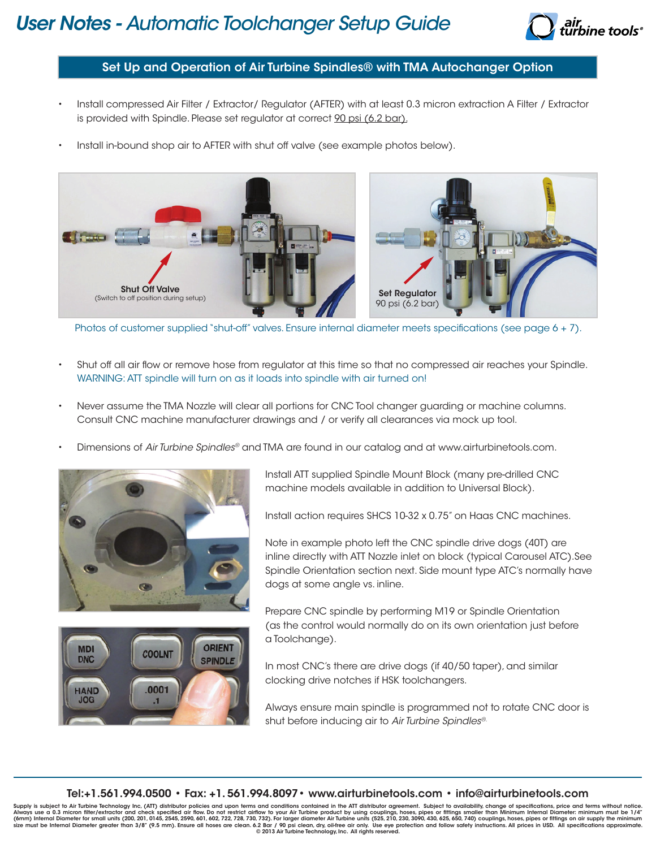# *User Notes - Automatic Toolchanger Setup Guide*



## Set Up and Operation of Air Turbine Spindles® with TMA Autochanger Option

- Install compressed Air Filter / Extractor/ Regulator (AFTER) with at least 0.3 micron extraction A Filter / Extractor is provided with Spindle. Please set regulator at correct 90 psi (6.2 bar).
- Install in-bound shop air to AFTER with shut off valve (see example photos below).



Photos of customer supplied "shut-off" valves. Ensure internal diameter meets specifications (see page 6 + 7).

- Shut off all air flow or remove hose from regulator at this time so that no compressed air reaches your Spindle. WARNING: ATT spindle will turn on as it loads into spindle with air turned on!
- Never assume the TMA Nozzle will clear all portions for CNC Tool changer guarding or machine columns. Consult CNC machine manufacturer drawings and / or verify all clearances via mock up tool.
- Dimensions of *Air Turbine Spindles®* and TMA are found in our catalog and at www.airturbinetools.com.





Install ATT supplied Spindle Mount Block (many pre-drilled CNC machine models available in addition to Universal Block).

Install action requires SHCS 10-32 x 0.75" on Haas CNC machines.

Note in example photo left the CNC spindle drive dogs (40T) are inline directly with ATT Nozzle inlet on block (typical Carousel ATC).See Spindle Orientation section next. Side mount type ATC's normally have dogs at some angle vs. inline.

Prepare CNC spindle by performing M19 or Spindle Orientation (as the control would normally do on its own orientation just before a Toolchange).

In most CNC's there are drive dogs (if 40/50 taper), and similar clocking drive notches if HSK toolchangers.

Always ensure main spindle is programmed not to rotate CNC door is shut before inducing air to *Air Turbine Spindles®.*

#### Tel:+1.561.994.0500 • Fax: +1. 561.994.8097• www.airturbinetools.com • info@airturbinetools.com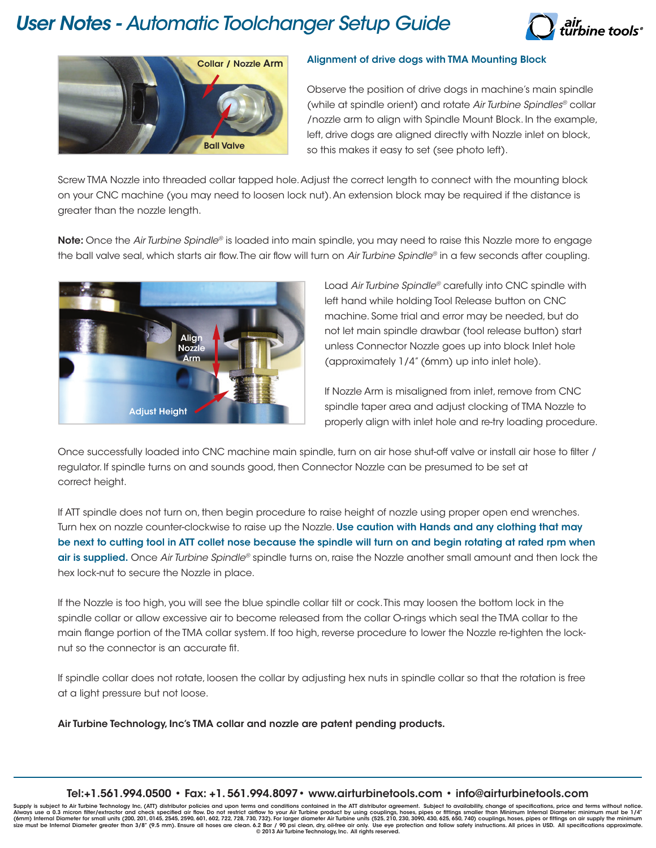# *User Notes - Automatic Toolchanger Setup Guide*





### Alignment of drive dogs with TMA Mounting Block

Observe the position of drive dogs in machine's main spindle (while at spindle orient) and rotate *Air Turbine Spindles®* collar /nozzle arm to align with Spindle Mount Block. In the example, left, drive dogs are aligned directly with Nozzle inlet on block, so this makes it easy to set (see photo left).

Screw TMA Nozzle into threaded collar tapped hole. Adjust the correct length to connect with the mounting block on your CNC machine (you may need to loosen lock nut). An extension block may be required if the distance is greater than the nozzle length.

Note: Once the *Air Turbine Spindle®* is loaded into main spindle, you may need to raise this Nozzle more to engage the ball valve seal, which starts air flow. The air flow will turn on *Air Turbine Spindle®* in a few seconds after coupling.



Load *Air Turbine Spindle®* carefully into CNC spindle with left hand while holding Tool Release button on CNC machine. Some trial and error may be needed, but do not let main spindle drawbar (tool release button) start unless Connector Nozzle goes up into block Inlet hole (approximately 1/4" (6mm) up into inlet hole).

If Nozzle Arm is misaligned from inlet, remove from CNC spindle taper area and adjust clocking of TMA Nozzle to properly align with inlet hole and re-try loading procedure.

Once successfully loaded into CNC machine main spindle, turn on air hose shut-off valve or install air hose to filter / regulator. If spindle turns on and sounds good, then Connector Nozzle can be presumed to be set at correct height.

If ATT spindle does not turn on, then begin procedure to raise height of nozzle using proper open end wrenches. Turn hex on nozzle counter-clockwise to raise up the Nozzle. Use caution with Hands and any clothing that may be next to cutting tool in ATT collet nose because the spindle will turn on and begin rotating at rated rpm when air is supplied. Once *Air Turbine Spindle®* spindle turns on, raise the Nozzle another small amount and then lock the hex lock-nut to secure the Nozzle in place.

If the Nozzle is too high, you will see the blue spindle collar tilt or cock. This may loosen the bottom lock in the spindle collar or allow excessive air to become released from the collar O-rings which seal the TMA collar to the main flange portion of the TMA collar system. If too high, reverse procedure to lower the Nozzle re-tighten the locknut so the connector is an accurate fit.

If spindle collar does not rotate, loosen the collar by adjusting hex nuts in spindle collar so that the rotation is free at a light pressure but not loose.

Air Turbine Technology, Inc's TMA collar and nozzle are patent pending products.

#### Tel:+1.561.994.0500 • Fax: +1. 561.994.8097• www.airturbinetools.com • info@airturbinetools.com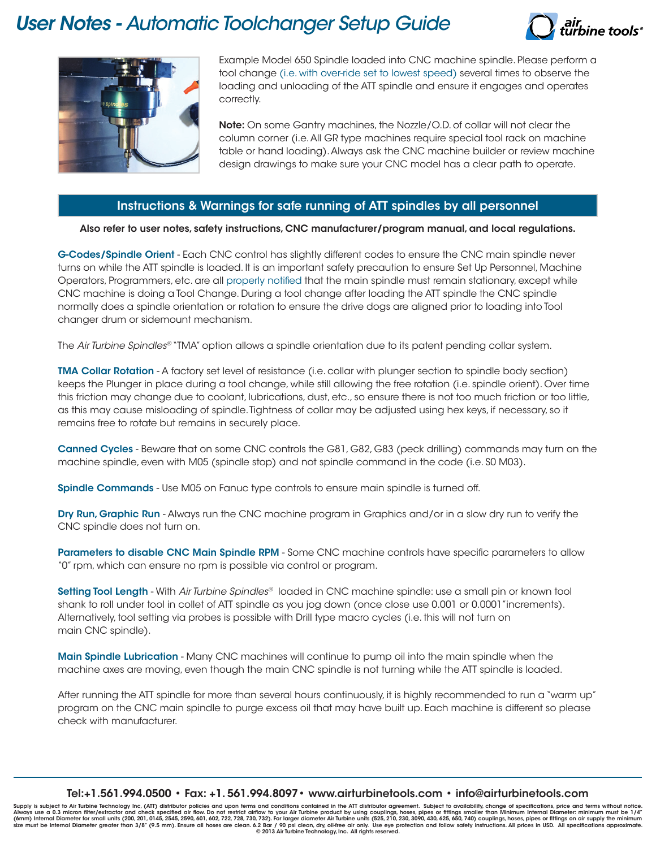# *User Notes - Automatic Toolchanger Setup Guide*





Example Model 650 Spindle loaded into CNC machine spindle. Please perform a tool change (i.e. with over-ride set to lowest speed) several times to observe the loading and unloading of the ATT spindle and ensure it engages and operates correctly.

Note: On some Gantry machines, the Nozzle/O.D. of collar will not clear the column corner (i.e. All GR type machines require special tool rack on machine table or hand loading). Always ask the CNC machine builder or review machine design drawings to make sure your CNC model has a clear path to operate.

## Instructions & Warnings for safe running of ATT spindles by all personnel

### Also refer to user notes, safety instructions, CNC manufacturer/program manual, and local regulations.

G-Codes/Spindle Orient - Each CNC control has slightly different codes to ensure the CNC main spindle never turns on while the ATT spindle is loaded. It is an important safety precaution to ensure Set Up Personnel, Machine Operators, Programmers, etc. are all properly notified that the main spindle must remain stationary, except while CNC machine is doing a Tool Change. During a tool change after loading the ATT spindle the CNC spindle normally does a spindle orientation or rotation to ensure the drive dogs are aligned prior to loading into Tool changer drum or sidemount mechanism.

The *Air Turbine Spindles®* "TMA" option allows a spindle orientation due to its patent pending collar system.

TMA Collar Rotation - A factory set level of resistance (i.e. collar with plunger section to spindle body section) keeps the Plunger in place during a tool change, while still allowing the free rotation (i.e. spindle orient). Over time this friction may change due to coolant, lubrications, dust, etc., so ensure there is not too much friction or too little, as this may cause misloading of spindle. Tightness of collar may be adjusted using hex keys, if necessary, so it remains free to rotate but remains in securely place.

Canned Cycles - Beware that on some CNC controls the G81, G82, G83 (peck drilling) commands may turn on the machine spindle, even with M05 (spindle stop) and not spindle command in the code (i.e. S0 M03).

Spindle Commands - Use M05 on Fanuc type controls to ensure main spindle is turned off.

Dry Run, Graphic Run - Always run the CNC machine program in Graphics and/or in a slow dry run to verify the CNC spindle does not turn on.

Parameters to disable CNC Main Spindle RPM - Some CNC machine controls have specific parameters to allow "0" rpm, which can ensure no rpm is possible via control or program.

Setting Tool Length - With *Air Turbine Spindles®* loaded in CNC machine spindle: use a small pin or known tool shank to roll under tool in collet of ATT spindle as you jog down (once close use 0.001 or 0.0001"increments). Alternatively, tool setting via probes is possible with Drill type macro cycles (i.e. this will not turn on main CNC spindle).

Main Spindle Lubrication - Many CNC machines will continue to pump oil into the main spindle when the machine axes are moving, even though the main CNC spindle is not turning while the ATT spindle is loaded.

After running the ATT spindle for more than several hours continuously, it is highly recommended to run a "warm up" program on the CNC main spindle to purge excess oil that may have built up. Each machine is different so please check with manufacturer.

Tel:+1.561.994.0500 • Fax: +1. 561.994.8097• www.airturbinetools.com • info@airturbinetools.com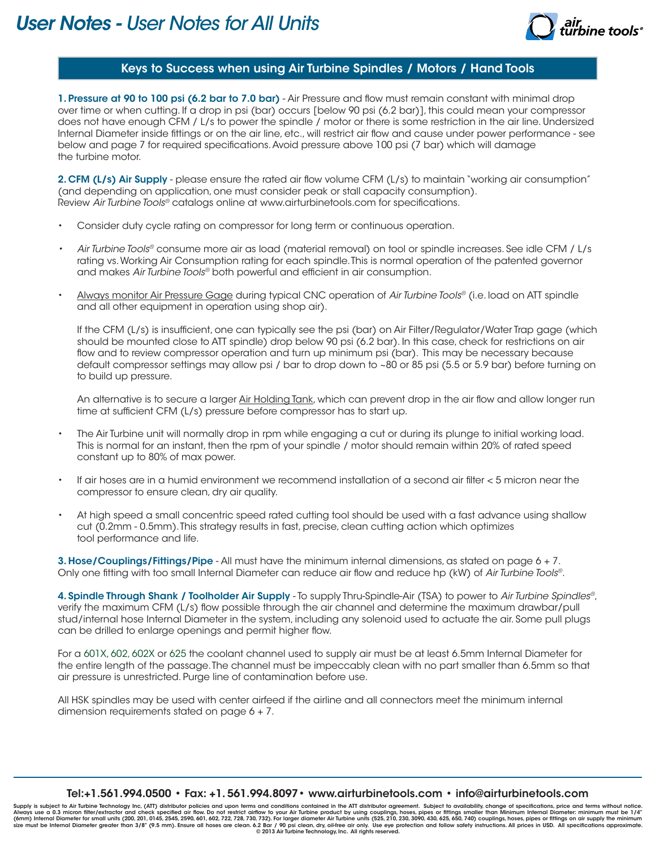

## Keys to Success when using Air Turbine Spindles / Motors / Hand Tools

1. Pressure at 90 to 100 psi (6.2 bar to 7.0 bar) - Air Pressure and flow must remain constant with minimal drop over time or when cutting. If a drop in psi (bar) occurs [below 90 psi (6.2 bar)], this could mean your compressor does not have enough CFM / L/s to power the spindle / motor or there is some restriction in the air line. Undersized Internal Diameter inside fittings or on the air line, etc., will restrict air flow and cause under power performance - see below and page 7 for required specifications. Avoid pressure above 100 psi (7 bar) which will damage the turbine motor.

2. CFM (L/s) Air Supply - please ensure the rated air flow volume CFM (L/s) to maintain "working air consumption" (and depending on application, one must consider peak or stall capacity consumption). Review *Air Turbine Tools®* catalogs online at www.airturbinetools.com for specifications.

- Consider duty cycle rating on compressor for long term or continuous operation.
- *• Air Turbine Tools®* consume more air as load (material removal) on tool or spindle increases. See idle CFM / L/s rating vs. Working Air Consumption rating for each spindle. This is normal operation of the patented governor and makes *Air Turbine Tools®* both powerful and efficient in air consumption.
- Always monitor Air Pressure Gage during typical CNC operation of *Air Turbine Tools®* (i.e. load on ATT spindle and all other equipment in operation using shop air).

If the CFM (L/s) is insufficient, one can typically see the psi (bar) on Air Filter/Regulator/Water Trap gage (which should be mounted close to ATT spindle) drop below 90 psi (6.2 bar). In this case, check for restrictions on air flow and to review compressor operation and turn up minimum psi (bar). This may be necessary because default compressor settings may allow psi / bar to drop down to ~80 or 85 psi (5.5 or 5.9 bar) before turning on to build up pressure.

An alternative is to secure a larger Air Holding Tank, which can prevent drop in the air flow and allow longer run time at sufficient CFM (L/s) pressure before compressor has to start up.

- The Air Turbine unit will normally drop in rpm while engaging a cut or during its plunge to initial working load. This is normal for an instant, then the rpm of your spindle / motor should remain within 20% of rated speed constant up to 80% of max power.
- If air hoses are in a humid environment we recommend installation of a second air filter < 5 micron near the compressor to ensure clean, dry air quality.
- At high speed a small concentric speed rated cutting tool should be used with a fast advance using shallow cut (0.2mm - 0.5mm). This strategy results in fast, precise, clean cutting action which optimizes tool performance and life.

3. Hose/Couplings/Fittings/Pipe - All must have the minimum internal dimensions, as stated on page 6 + 7. Only one fitting with too small Internal Diameter can reduce air flow and reduce hp (kW) of *Air Turbine Tools®*.

4. Spindle Through Shank / Toolholder Air Supply - To supply Thru-Spindle-Air (TSA) to power to *Air Turbine Spindles®*, verify the maximum CFM (L/s) flow possible through the air channel and determine the maximum drawbar/pull stud/internal hose Internal Diameter in the system, including any solenoid used to actuate the air. Some pull plugs can be drilled to enlarge openings and permit higher flow.

For a 601X, 602, 602X or 625 the coolant channel used to supply air must be at least 6.5mm Internal Diameter for the entire length of the passage. The channel must be impeccably clean with no part smaller than 6.5mm so that air pressure is unrestricted. Purge line of contamination before use.

All HSK spindles may be used with center airfeed if the airline and all connectors meet the minimum internal dimension requirements stated on page 6 + 7.

#### Tel:+1.561.994.0500 • Fax: +1. 561.994.8097• www.airturbinetools.com • info@airturbinetools.com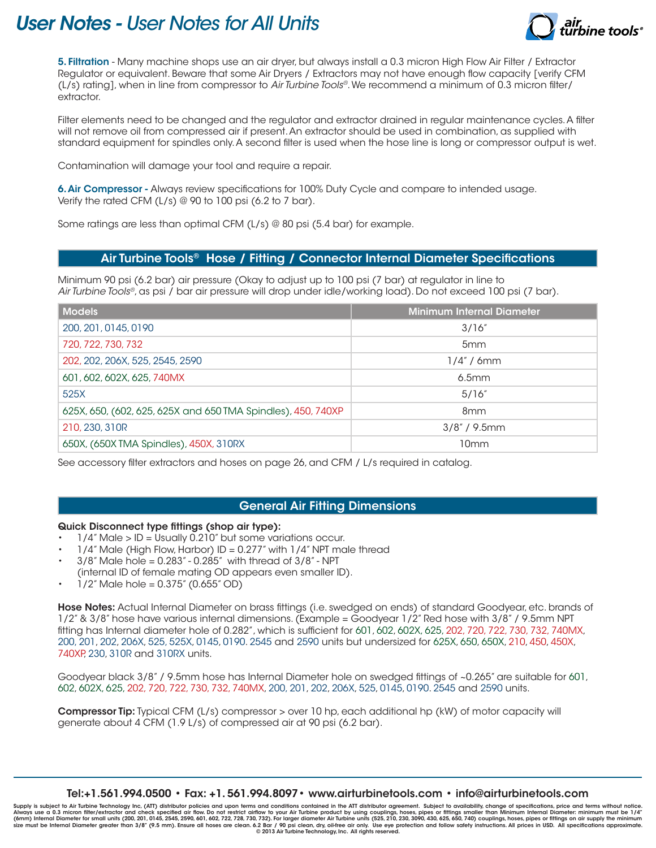# *User Notes - User Notes for All Units*



5. Filtration - Many machine shops use an air dryer, but always install a 0.3 micron High Flow Air Filter / Extractor Regulator or equivalent. Beware that some Air Dryers / Extractors may not have enough flow capacity [verify CFM (L/s) rating], when in line from compressor to *Air Turbine Tools®*. We recommend a minimum of 0.3 micron filter/ extractor.

Filter elements need to be changed and the regulator and extractor drained in regular maintenance cycles. A filter will not remove oil from compressed air if present. An extractor should be used in combination, as supplied with standard equipment for spindles only. A second filter is used when the hose line is long or compressor output is wet.

Contamination will damage your tool and require a repair.

6. Air Compressor - Always review specifications for 100% Duty Cycle and compare to intended usage. Verify the rated CFM (L/s) @ 90 to 100 psi (6.2 to 7 bar).

Some ratings are less than optimal CFM (L/s) @ 80 psi (5.4 bar) for example.

## Air Turbine Tools® Hose / Fitting / Connector Internal Diameter Specifications

Minimum 90 psi (6.2 bar) air pressure (Okay to adjust up to 100 psi (7 bar) at regulator in line to *Air Turbine Tools®*, as psi / bar air pressure will drop under idle/working load). Do not exceed 100 psi (7 bar).

| <b>Models</b>                                                | <b>Minimum Internal Diameter</b> |
|--------------------------------------------------------------|----------------------------------|
| 200, 201, 0145, 0190                                         | 3/16''                           |
| 720, 722, 730, 732                                           | 5 <sub>mm</sub>                  |
| 202, 202, 206X, 525, 2545, 2590                              | $1/4$ " / 6mm                    |
| 601, 602, 602X, 625, 740MX                                   | 6.5mm                            |
| 525X                                                         | 5/16''                           |
| 625X, 650, (602, 625, 625X and 650 TMA Spindles), 450, 740XP | 8 <sub>mm</sub>                  |
| 210, 230, 310R                                               | $3/8$ " / 9.5mm                  |
| 650X, (650X TMA Spindles), 450X, 310RX                       | 10mm                             |

See accessory filter extractors and hoses on page 26, and CFM / L/s required in catalog.

## General Air Fitting Dimensions

## Quick Disconnect type fittings (shop air type):

- 1/4" Male > ID = Usually 0.210" but some variations occur.
- $1/4$ " Male (High Flow, Harbor) ID = 0.277" with  $1/4$ " NPT male thread
- $3/8$ " Male hole =  $0.283$ "  $0.285$ " with thread of  $3/8$ " NPT (internal ID of female mating OD appears even smaller ID).
- $1/2$ " Male hole = 0.375" (0.655" OD)

Hose Notes: Actual Internal Diameter on brass fittings (i.e. swedged on ends) of standard Goodyear, etc. brands of 1/2" & 3/8" hose have various internal dimensions. (Example = Goodyear 1/2" Red hose with 3/8" / 9.5mm NPT fitting has Internal diameter hole of 0.282", which is sufficient for 601, 602, 602X, 625, 202, 720, 722, 730, 732, 740MX, 200, 201, 202, 206X, 525, 525X, 0145, 0190. 2545 and 2590 units but undersized for 625X, 650, 650X, 210, 450, 450X, 740XP, 230, 310R and 310RX units.

Goodyear black 3/8" / 9.5mm hose has Internal Diameter hole on swedged fittings of ~0.265" are suitable for 601, 602, 602X, 625, 202, 720, 722, 730, 732, 740MX, 200, 201, 202, 206X, 525, 0145, 0190. 2545 and 2590 units.

Compressor Tip: Typical CFM (L/s) compressor > over 10 hp, each additional hp (kW) of motor capacity will generate about 4 CFM (1.9 L/s) of compressed air at 90 psi (6.2 bar).

Tel:+1.561.994.0500 • Fax: +1. 561.994.8097• www.airturbinetools.com • info@airturbinetools.com